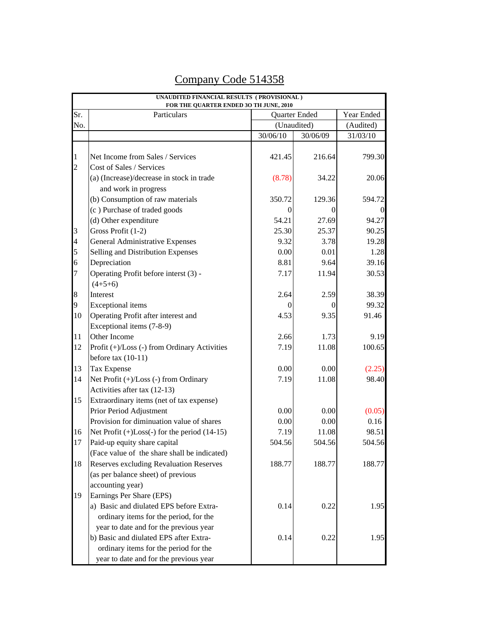| FOR THE QUARTER ENDED 30 TH JUNE, 2010<br>Year Ended |                                                      |          |                              |          |  |  |  |
|------------------------------------------------------|------------------------------------------------------|----------|------------------------------|----------|--|--|--|
| Sr.<br>No.                                           | Particulars                                          |          | Quarter Ended<br>(Unaudited) |          |  |  |  |
|                                                      |                                                      |          |                              |          |  |  |  |
|                                                      |                                                      | 30/06/10 | 30/06/09                     | 31/03/10 |  |  |  |
| $\mathbf{1}$                                         | Net Income from Sales / Services                     | 421.45   | 216.64                       | 799.30   |  |  |  |
| $\overline{c}$                                       | Cost of Sales / Services                             |          |                              |          |  |  |  |
|                                                      | (a) (Increase)/decrease in stock in trade            | (8.78)   | 34.22                        | 20.06    |  |  |  |
|                                                      | and work in progress                                 |          |                              |          |  |  |  |
|                                                      | (b) Consumption of raw materials                     | 350.72   | 129.36                       | 594.72   |  |  |  |
|                                                      | (c) Purchase of traded goods                         | 0        | $\Omega$                     | $\theta$ |  |  |  |
|                                                      | (d) Other expenditure                                | 54.21    | 27.69                        | 94.27    |  |  |  |
| 3                                                    | Gross Profit (1-2)                                   | 25.30    | 25.37                        | 90.25    |  |  |  |
| $\overline{4}$                                       | <b>General Administrative Expenses</b>               | 9.32     | 3.78                         | 19.28    |  |  |  |
| 5                                                    | Selling and Distribution Expenses                    | 0.00     | 0.01                         | 1.28     |  |  |  |
| 6                                                    | Depreciation                                         | 8.81     | 9.64                         | 39.16    |  |  |  |
| $\overline{7}$                                       | Operating Profit before interst (3) -                | 7.17     | 11.94                        | 30.53    |  |  |  |
|                                                      | $(4+5+6)$                                            |          |                              |          |  |  |  |
| $\bf 8$                                              | Interest                                             | 2.64     | 2.59                         | 38.39    |  |  |  |
| 9                                                    | <b>Exceptional</b> items                             | 0        | $\Omega$                     | 99.32    |  |  |  |
| 10                                                   | Operating Profit after interest and                  | 4.53     | 9.35                         | 91.46    |  |  |  |
|                                                      | Exceptional items (7-8-9)                            |          |                              |          |  |  |  |
| 11                                                   | Other Income                                         | 2.66     | 1.73                         | 9.19     |  |  |  |
| 12                                                   | Profit (+)/Loss (-) from Ordinary Activities         | 7.19     | 11.08                        | 100.65   |  |  |  |
|                                                      | before tax $(10-11)$                                 |          |                              |          |  |  |  |
| 13                                                   | Tax Expense                                          | 0.00     | 0.00                         | (2.25)   |  |  |  |
| 14                                                   | Net Profit $(+)/$ Loss $(-)$ from Ordinary           | 7.19     | 11.08                        | 98.40    |  |  |  |
|                                                      | Activities after tax (12-13)                         |          |                              |          |  |  |  |
| 15                                                   | Extraordinary items (net of tax expense)             |          |                              |          |  |  |  |
|                                                      | Prior Period Adjustment                              | 0.00     | 0.00                         | (0.05)   |  |  |  |
|                                                      | Provision for diminuation value of shares            | 0.00     | 0.00                         | 0.16     |  |  |  |
| 16                                                   | Net Profit $(+)$ Loss $(-)$ for the period $(14-15)$ | 7.19     | 11.08                        | 98.51    |  |  |  |
| 17                                                   | Paid-up equity share capital                         | 504.56   | 504.56                       | 504.56   |  |  |  |
|                                                      | (Face value of the share shall be indicated)         |          |                              |          |  |  |  |
| 18                                                   | Reserves excluding Revaluation Reserves              | 188.77   | 188.77                       | 188.77   |  |  |  |
|                                                      | (as per balance sheet) of previous                   |          |                              |          |  |  |  |
|                                                      | accounting year)                                     |          |                              |          |  |  |  |
| 19                                                   | Earnings Per Share (EPS)                             |          |                              |          |  |  |  |
|                                                      | a) Basic and diulated EPS before Extra-              | 0.14     | 0.22                         | 1.95     |  |  |  |
|                                                      | ordinary items for the period, for the               |          |                              |          |  |  |  |
|                                                      | year to date and for the previous year               |          |                              |          |  |  |  |
|                                                      | b) Basic and diulated EPS after Extra-               | 0.14     | 0.22                         | 1.95     |  |  |  |
|                                                      | ordinary items for the period for the                |          |                              |          |  |  |  |
|                                                      | year to date and for the previous year               |          |                              |          |  |  |  |

## Company Code 514358